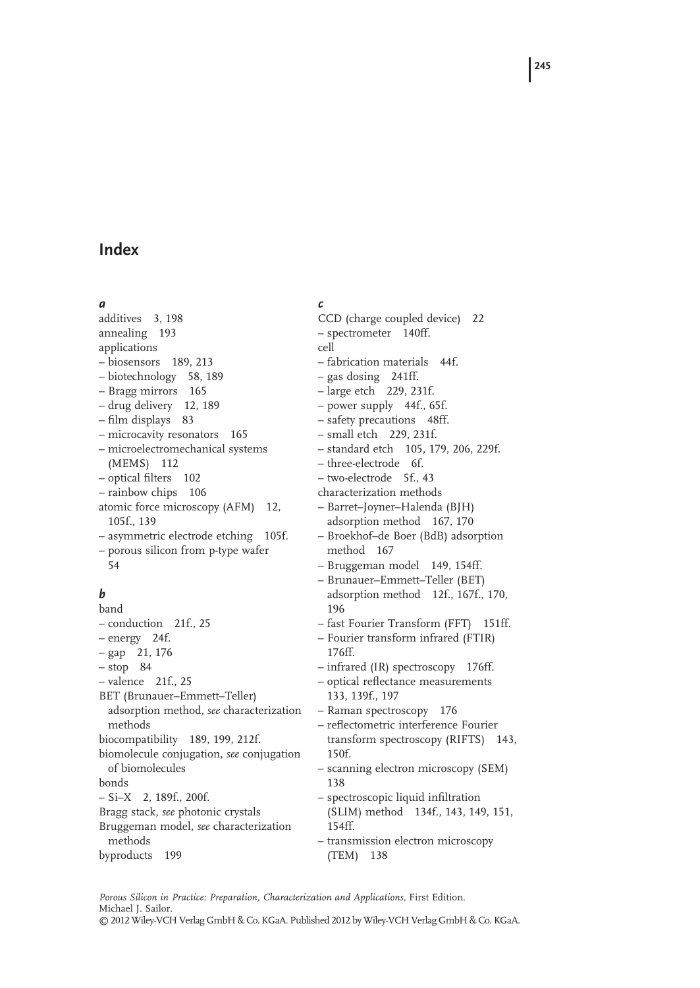# **Index**

#### *a*

additives 3, 198 annealing 193 applications – biosensors 189, 213 – biotechnology 58, 189 – Bragg mirrors 165 – drug delivery 12, 189 – film displays 83 – microcavity resonators 165 – microelectromechanical systems (MEMS) 112 – optical filters 102 – rainbow chips 106 atomic force microscopy (AFM) 12, 105f., 139 – asymmetric electrode etching 105f. – porous silicon from p-type wafer 54

## *b*

band – conduction 21f., 25 – energy 24f. – gap 21, 176 – stop 84 – valence 21f., 25 BET (Brunauer–Emmett–Teller) adsorption method, *see* characterization methods biocompatibility 189, 199, 212f. biomolecule conjugation, *see* conjugation of biomolecules bonds – Si–X 2, 189f., 200f. Bragg stack, *see* photonic crystals Bruggeman model, *see* characterization methods byproducts 199

*c* CCD (charge coupled device) 22 – spectrometer 140ff. cell – fabrication materials 44f. – gas dosing 241ff. – large etch 229, 231f. – power supply 44f., 65f. – safety precautions 48ff. – small etch 229, 231f. – standard etch 105, 179, 206, 229f. – three-electrode 6f. – two-electrode 5f., 43 characterization methods – Barret–Joyner–Halenda (BJH) adsorption method 167, 170 – Broekhof–de Boer (BdB) adsorption method 167 – Bruggeman model 149, 154ff. – Brunauer–Emmett–Teller (BET) adsorption method 12f., 167f., 170, 196 – fast Fourier Transform (FFT) 151ff. – Fourier transform infrared (FTIR) 176ff. – infrared (IR) spectroscopy 176ff. – optical reflectance measurements 133, 139f., 197 – Raman spectroscopy 176 – reflectometric interference Fourier transform spectroscopy (RIFTS) 143, 150f. – scanning electron microscopy (SEM) 138 – spectroscopic liquid infiltration (SLIM) method 134f., 143, 149, 151, 154ff. – transmission electron microscopy (TEM) 138

*Porous Silicon in Practice: Preparation, Characterization and Applications*, First Edition. Michael J. Sailor. © 2012 Wiley-VCH Verlag GmbH & Co. KGaA. Published 2012 by Wiley-VCH Verlag GmbH & Co. KGaA.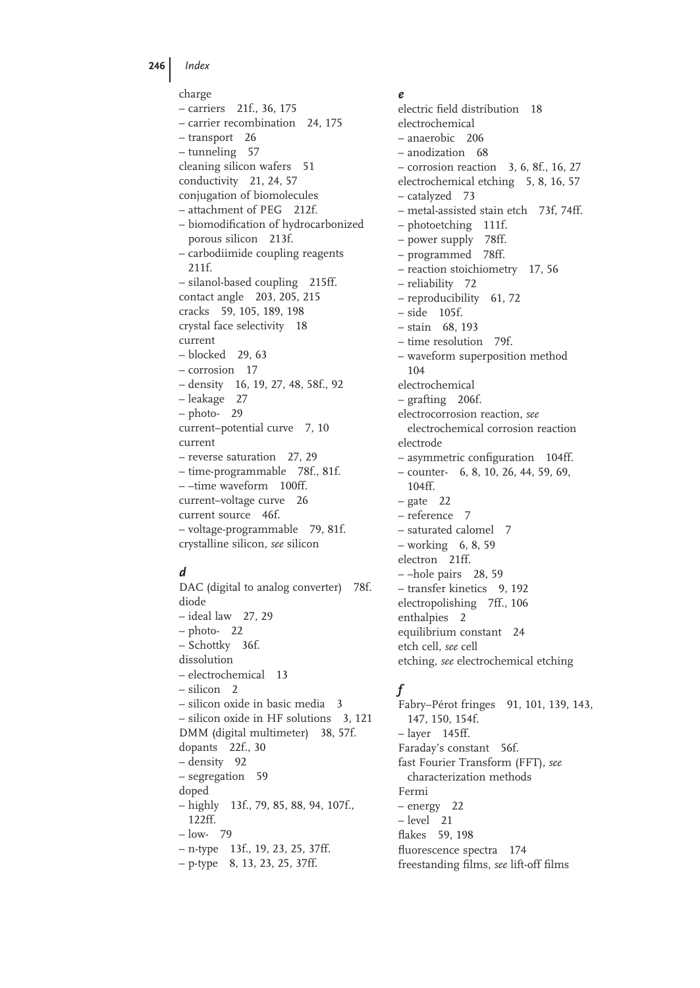**246** *Index*

charge – carriers 21f., 36, 175 – carrier recombination 24, 175 – transport 26 – tunneling 57 cleaning silicon wafers 51 conductivity 21, 24, 57 conjugation of biomolecules – attachment of PEG 212f. – biomodification of hydrocarbonized porous silicon 213f. – carbodiimide coupling reagents 211f. – silanol-based coupling 215ff. contact angle 203, 205, 215 cracks 59, 105, 189, 198 crystal face selectivity 18 current – blocked 29, 63 – corrosion 17 – density 16, 19, 27, 48, 58f., 92 – leakage 27 – photo- 29 current–potential curve 7, 10 current – reverse saturation 27, 29 – time-programmable 78f., 81f. – –time waveform 100ff. current–voltage curve 26 current source 46f. – voltage-programmable 79, 81f. crystalline silicon, *see* silicon

## *d*

DAC (digital to analog converter) 78f. diode – ideal law 27, 29 – photo- 22 – Schottky 36f. dissolution – electrochemical 13 – silicon 2 – silicon oxide in basic media 3 – silicon oxide in HF solutions 3, 121 DMM (digital multimeter) 38, 57f. dopants 22f., 30 – density 92 – segregation 59 doped – highly 13f., 79, 85, 88, 94, 107f., 122ff. – low- 79 – n-type 13f., 19, 23, 25, 37ff. – p-type 8, 13, 23, 25, 37ff.

### *e*

electric field distribution 18 electrochemical – anaerobic 206 – anodization 68 – corrosion reaction 3, 6, 8f., 16, 27 electrochemical etching 5, 8, 16, 57 – catalyzed 73 – metal-assisted stain etch 73f, 74ff. – photoetching 111f. – power supply 78ff. – programmed 78ff. – reaction stoichiometry 17, 56 – reliability 72 – reproducibility 61, 72 – side 105f. – stain 68, 193 – time resolution 79f. – waveform superposition method 104 electrochemical – grafting 206f. electrocorrosion reaction, *see* electrochemical corrosion reaction electrode  $-$  asymmetric configuration 104ff. – counter- 6, 8, 10, 26, 44, 59, 69, 104ff.  $-$  gate 22 – reference 7 – saturated calomel 7 – working 6, 8, 59 electron 21ff. – –hole pairs 28, 59 – transfer kinetics 9, 192 electropolishing 7ff., 106 enthalpies 2 equilibrium constant 24 etch cell, *see* cell etching, *see* electrochemical etching

# *f*

Fabry–Pérot fringes 91, 101, 139, 143, 147, 150, 154f. – layer 145ff. Faraday's constant 56f. fast Fourier Transform (FFT), *see* characterization methods Fermi – energy 22 – level 21 flakes 59, 198 fluorescence spectra 174 freestanding films, see lift-off films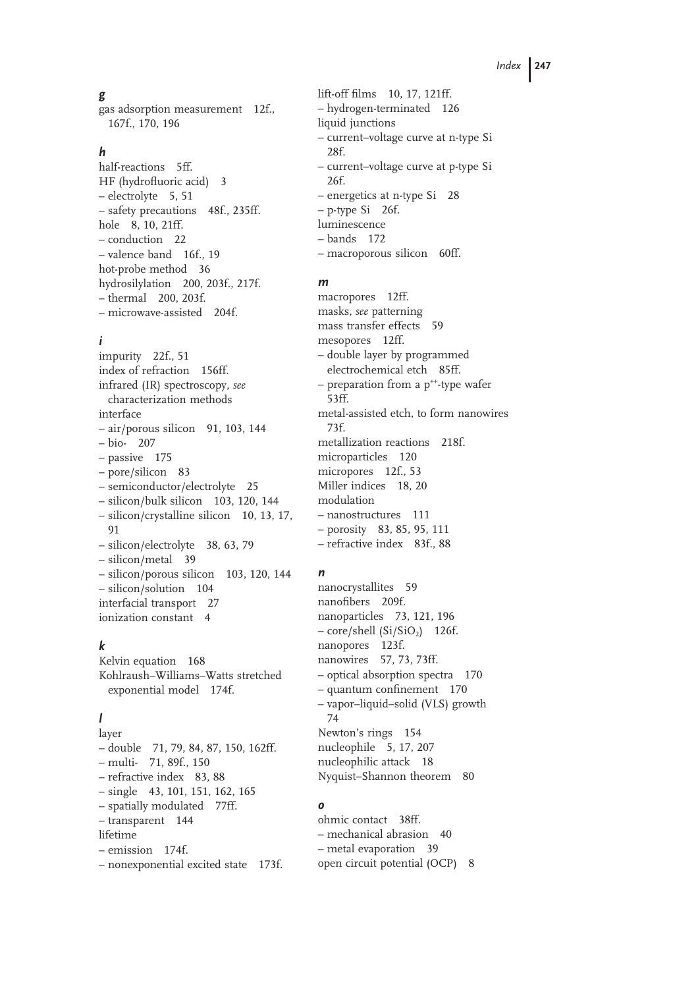## *g*

gas adsorption measurement 12f., 167f., 170, 196

## *h*

half-reactions 5ff. HF (hydrofluoric acid) 3 – electrolyte 5, 51 – safety precautions 48f., 235ff. hole 8, 10, 21ff. – conduction 22 – valence band 16f., 19 hot-probe method 36 hydrosilylation 200, 203f., 217f. – thermal 200, 203f. – microwave-assisted 204f.

## *i*

impurity 22f., 51 index of refraction 156ff. infrared (IR) spectroscopy, *see* characterization methods interface  $-$  air/porous silicon 91, 103, 144 – bio- 207 – passive 175 – pore/silicon 83 – semiconductor/electrolyte 25 – silicon/bulk silicon 103, 120, 144 – silicon/crystalline silicon 10, 13, 17, 91 – silicon/electrolyte 38, 63, 79 – silicon/metal 39 – silicon/porous silicon 103, 120, 144 – silicon/solution 104 interfacial transport 27 ionization constant 4

## *k*

Kelvin equation 168 Kohlraush–Williams–Watts stretched exponential model 174f.

## *l*

layer – double 71, 79, 84, 87, 150, 162ff. – multi- 71, 89f., 150 – refractive index 83, 88 – single 43, 101, 151, 162, 165 – spatially modulated 77ff. – transparent 144 lifetime – emission 174f. – nonexponential excited state 173f. lift-off films 10, 17, 121ff. – hydrogen-terminated 126 liquid junctions – current–voltage curve at n-type Si 28f. – current–voltage curve at p-type Si 26f. – energetics at n-type Si 28 – p-type Si 26f. luminescence – bands 172 – macroporous silicon 60ff.

### *m*

macropores 12ff. masks, *see* patterning mass transfer effects 59 mesopores 12ff. – double layer by programmed electrochemical etch 85ff. – preparation from a  $p^{++}$ -type wafer 53ff. metal-assisted etch, to form nanowires 73f. metallization reactions 218f. microparticles 120 micropores 12f., 53 Miller indices 18, 20 modulation – nanostructures 111 – porosity 83, 85, 95, 111 – refractive index 83f., 88

## *n*

nanocrystallites 59 nanofibers 209f. nanoparticles 73, 121, 196  $-$  core/shell (Si/SiO<sub>2</sub>) 126f. nanopores 123f. nanowires 57, 73, 73ff. – optical absorption spectra 170  $-$  quantum confinement 170 – vapor–liquid–solid (VLS) growth 74 Newton's rings 154 nucleophile 5, 17, 207 nucleophilic attack 18 Nyquist–Shannon theorem 80

## *o*

ohmic contact 38ff. – mechanical abrasion 40 – metal evaporation 39 open circuit potential (OCP) 8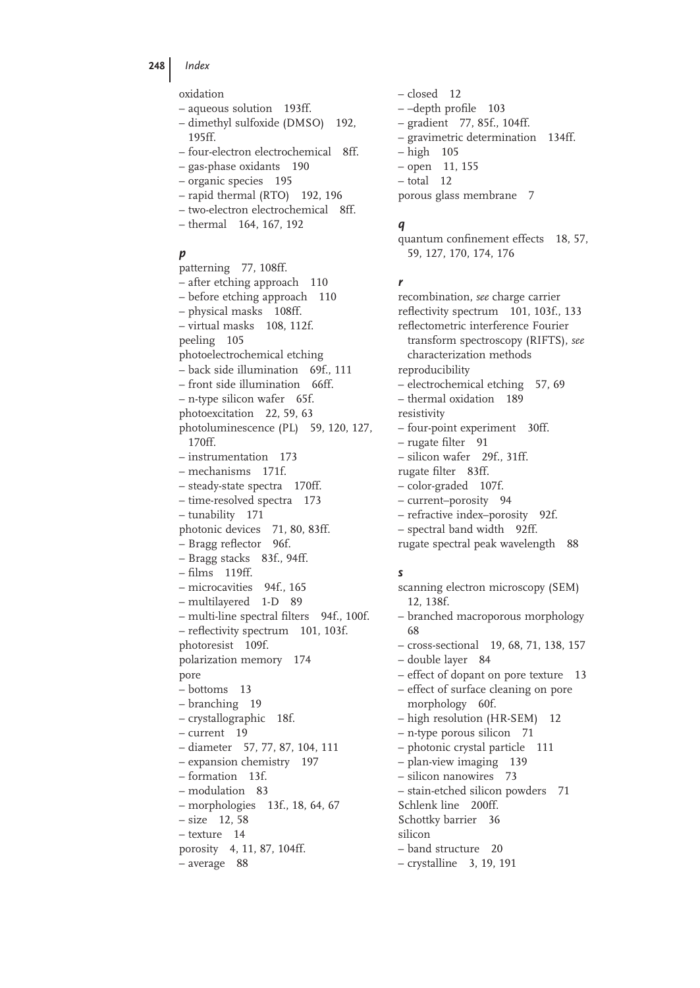**248** *Index*

oxidation

- aqueous solution 193ff.
- dimethyl sulfoxide (DMSO) 192, 195ff.
- four-electron electrochemical 8ff.
- gas-phase oxidants 190
- organic species 195
- rapid thermal (RTO) 192, 196
- two-electron electrochemical 8ff.
- thermal 164, 167, 192

## *p*

patterning 77, 108ff. – after etching approach 110 – before etching approach 110 – physical masks 108ff. – virtual masks 108, 112f. peeling 105 photoelectrochemical etching – back side illumination 69f., 111 – front side illumination 66ff. – n-type silicon wafer 65f. photoexcitation 22, 59, 63 photoluminescence (PL) 59, 120, 127, 170ff. – instrumentation 173 – mechanisms 171f. – steady-state spectra 170ff. – time-resolved spectra 173 – tunability 171 photonic devices 71, 80, 83ff.  $-$  Bragg reflector 96f. – Bragg stacks 83f., 94ff.  $-$  films 119ff. – microcavities 94f., 165 – multilayered 1-D 89  $-$  multi-line spectral filters 94f., 100f. – reflectivity spectrum 101, 103f. photoresist 109f. polarization memory 174 pore – bottoms 13 – branching 19 – crystallographic 18f. – current 19 – diameter 57, 77, 87, 104, 111 – expansion chemistry 197 – formation 13f. – modulation 83 – morphologies 13f., 18, 64, 67 – size 12, 58 – texture 14 porosity 4, 11, 87, 104ff. – average 88

– closed 12  $-$ -depth profile 103 – gradient 77, 85f., 104ff. – gravimetric determination 134ff. – high 105 – open 11, 155 – total 12 porous glass membrane 7

#### *q*

quantum confinement effects 18, 57, 59, 127, 170, 174, 176

#### *r*

recombination, *see* charge carrier reflectivity spectrum 101, 103f., 133 reflectometric interference Fourier transform spectroscopy (RIFTS), *see*  characterization methods reproducibility – electrochemical etching 57, 69 – thermal oxidation 189 resistivity – four-point experiment 30ff. – rugate filter 91 – silicon wafer 29f., 31ff. rugate filter 83ff. – color-graded 107f. – current–porosity 94 – refractive index–porosity 92f. – spectral band width 92ff. rugate spectral peak wavelength 88

### *s*

scanning electron microscopy (SEM) 12, 138f. – branched macroporous morphology 68 – cross-sectional 19, 68, 71, 138, 157 – double layer 84 – effect of dopant on pore texture 13 – effect of surface cleaning on pore morphology 60f. – high resolution (HR-SEM) 12 – n-type porous silicon 71 – photonic crystal particle 111 – plan-view imaging 139 – silicon nanowires 73 – stain-etched silicon powders 71 Schlenk line 200ff. Schottky barrier 36 silicon – band structure 20 – crystalline 3, 19, 191